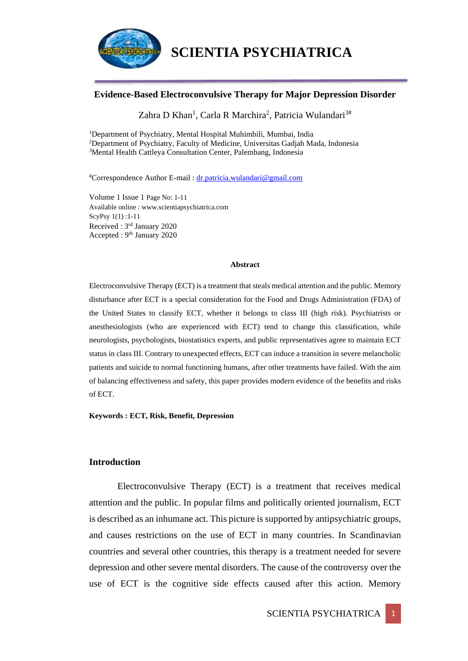

#### **Evidence-Based Electroconvulsive Therapy for Major Depression Disorder**

Zahra D Khan<sup>1</sup>, Carla R Marchira<sup>2</sup>, Patricia Wulandari<sup>3#</sup>

<sup>1</sup>Department of Psychiatry, Mental Hospital Muhimbili, Mumbai, India <sup>2</sup>Department of Psychiatry, Faculty of Medicine, Universitas Gadjah Mada, Indonesia <sup>3</sup>Mental Health Cattleya Consultation Center, Palembang, Indonesia

#Correspondence Author E-mail : [dr.patricia.wulandari@gmail.com](mailto:dr.patricia.wulandari@gmail.com)

Volume 1 Issue 1 Page No: 1-11 Available online : www.scientiapsychiatrica.com ScyPsy 1(1) :1-11 Received : 3rd January 2020 Accepted : 9th January 2020

#### **Abstract**

Electroconvulsive Therapy (ECT) is a treatment that steals medical attention and the public. Memory disturbance after ECT is a special consideration for the Food and Drugs Administration (FDA) of the United States to classify ECT, whether it belongs to class III (high risk). Psychiatrists or anesthesiologists (who are experienced with ECT) tend to change this classification, while neurologists, psychologists, biostatistics experts, and public representatives agree to maintain ECT status in class III. Contrary to unexpected effects, ECT can induce a transition in severe melancholic patients and suicide to normal functioning humans, after other treatments have failed. With the aim of balancing effectiveness and safety, this paper provides modern evidence of the benefits and risks of ECT.

**Keywords : ECT, Risk, Benefit, Depression** 

#### **Introduction**

Electroconvulsive Therapy (ECT) is a treatment that receives medical attention and the public. In popular films and politically oriented journalism, ECT is described as an inhumane act. This picture is supported by antipsychiatric groups, and causes restrictions on the use of ECT in many countries. In Scandinavian countries and several other countries, this therapy is a treatment needed for severe depression and other severe mental disorders. The cause of the controversy over the use of ECT is the cognitive side effects caused after this action. Memory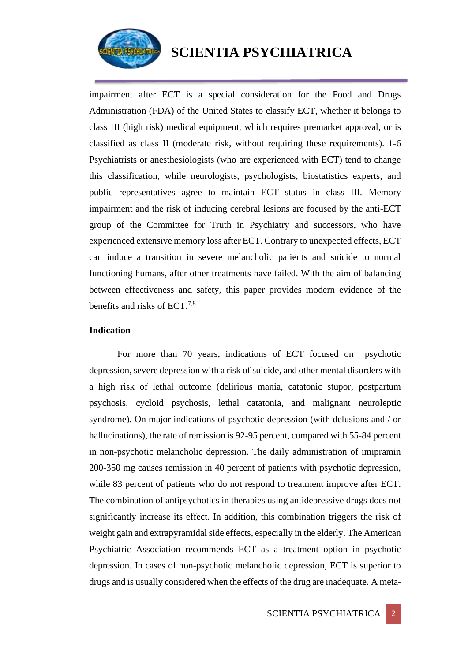

impairment after ECT is a special consideration for the Food and Drugs Administration (FDA) of the United States to classify ECT, whether it belongs to class III (high risk) medical equipment, which requires premarket approval, or is classified as class II (moderate risk, without requiring these requirements). 1-6 Psychiatrists or anesthesiologists (who are experienced with ECT) tend to change this classification, while neurologists, psychologists, biostatistics experts, and public representatives agree to maintain ECT status in class III. Memory impairment and the risk of inducing cerebral lesions are focused by the anti-ECT group of the Committee for Truth in Psychiatry and successors, who have experienced extensive memory loss after ECT. Contrary to unexpected effects, ECT can induce a transition in severe melancholic patients and suicide to normal functioning humans, after other treatments have failed. With the aim of balancing between effectiveness and safety, this paper provides modern evidence of the benefits and risks of ECT.7,8

#### **Indication**

For more than 70 years, indications of ECT focused on psychotic depression, severe depression with a risk of suicide, and other mental disorders with a high risk of lethal outcome (delirious mania, catatonic stupor, postpartum psychosis, cycloid psychosis, lethal catatonia, and malignant neuroleptic syndrome). On major indications of psychotic depression (with delusions and / or hallucinations), the rate of remission is 92-95 percent, compared with 55-84 percent in non-psychotic melancholic depression. The daily administration of imipramin 200-350 mg causes remission in 40 percent of patients with psychotic depression, while 83 percent of patients who do not respond to treatment improve after ECT. The combination of antipsychotics in therapies using antidepressive drugs does not significantly increase its effect. In addition, this combination triggers the risk of weight gain and extrapyramidal side effects, especially in the elderly. The American Psychiatric Association recommends ECT as a treatment option in psychotic depression. In cases of non-psychotic melancholic depression, ECT is superior to drugs and is usually considered when the effects of the drug are inadequate. A meta-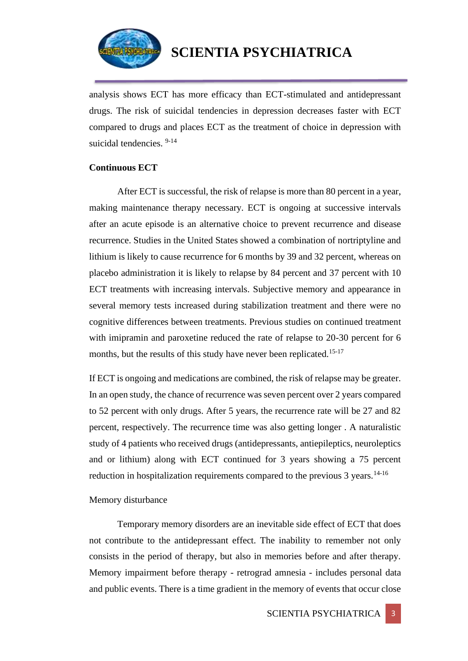

analysis shows ECT has more efficacy than ECT-stimulated and antidepressant drugs. The risk of suicidal tendencies in depression decreases faster with ECT compared to drugs and places ECT as the treatment of choice in depression with suicidal tendencies. 9-14

### **Continuous ECT**

After ECT is successful, the risk of relapse is more than 80 percent in a year, making maintenance therapy necessary. ECT is ongoing at successive intervals after an acute episode is an alternative choice to prevent recurrence and disease recurrence. Studies in the United States showed a combination of nortriptyline and lithium is likely to cause recurrence for 6 months by 39 and 32 percent, whereas on placebo administration it is likely to relapse by 84 percent and 37 percent with 10 ECT treatments with increasing intervals. Subjective memory and appearance in several memory tests increased during stabilization treatment and there were no cognitive differences between treatments. Previous studies on continued treatment with imipramin and paroxetine reduced the rate of relapse to 20-30 percent for 6 months, but the results of this study have never been replicated.<sup>15-17</sup>

If ECT is ongoing and medications are combined, the risk of relapse may be greater. In an open study, the chance of recurrence was seven percent over 2 years compared to 52 percent with only drugs. After 5 years, the recurrence rate will be 27 and 82 percent, respectively. The recurrence time was also getting longer . A naturalistic study of 4 patients who received drugs (antidepressants, antiepileptics, neuroleptics and or lithium) along with ECT continued for 3 years showing a 75 percent reduction in hospitalization requirements compared to the previous  $3$  years.<sup>14-16</sup>

## Memory disturbance

Temporary memory disorders are an inevitable side effect of ECT that does not contribute to the antidepressant effect. The inability to remember not only consists in the period of therapy, but also in memories before and after therapy. Memory impairment before therapy - retrograd amnesia - includes personal data and public events. There is a time gradient in the memory of events that occur close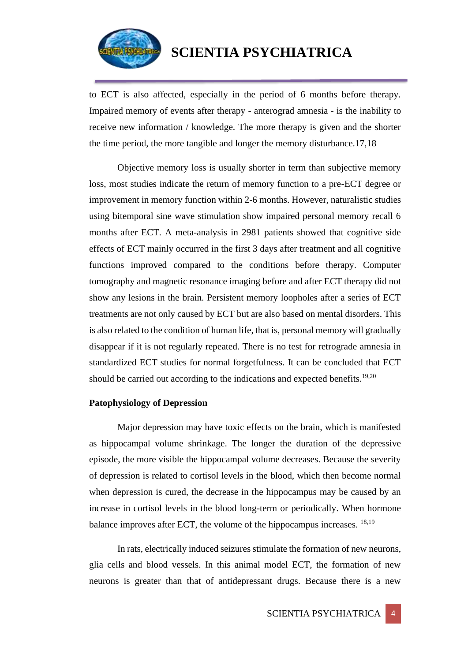

to ECT is also affected, especially in the period of 6 months before therapy. Impaired memory of events after therapy - anterograd amnesia - is the inability to receive new information / knowledge. The more therapy is given and the shorter the time period, the more tangible and longer the memory disturbance.17,18

Objective memory loss is usually shorter in term than subjective memory loss, most studies indicate the return of memory function to a pre-ECT degree or improvement in memory function within 2-6 months. However, naturalistic studies using bitemporal sine wave stimulation show impaired personal memory recall 6 months after ECT. A meta-analysis in 2981 patients showed that cognitive side effects of ECT mainly occurred in the first 3 days after treatment and all cognitive functions improved compared to the conditions before therapy. Computer tomography and magnetic resonance imaging before and after ECT therapy did not show any lesions in the brain. Persistent memory loopholes after a series of ECT treatments are not only caused by ECT but are also based on mental disorders. This is also related to the condition of human life, that is, personal memory will gradually disappear if it is not regularly repeated. There is no test for retrograde amnesia in standardized ECT studies for normal forgetfulness. It can be concluded that ECT should be carried out according to the indications and expected benefits.<sup>19,20</sup>

#### **Patophysiology of Depression**

Major depression may have toxic effects on the brain, which is manifested as hippocampal volume shrinkage. The longer the duration of the depressive episode, the more visible the hippocampal volume decreases. Because the severity of depression is related to cortisol levels in the blood, which then become normal when depression is cured, the decrease in the hippocampus may be caused by an increase in cortisol levels in the blood long-term or periodically. When hormone balance improves after ECT, the volume of the hippocampus increases. 18,19

In rats, electrically induced seizures stimulate the formation of new neurons, glia cells and blood vessels. In this animal model ECT, the formation of new neurons is greater than that of antidepressant drugs. Because there is a new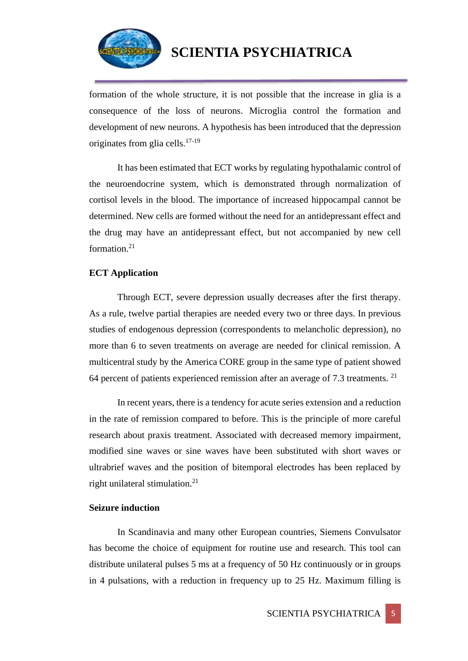

formation of the whole structure, it is not possible that the increase in glia is a consequence of the loss of neurons. Microglia control the formation and development of new neurons. A hypothesis has been introduced that the depression originates from glia cells.17-19

It has been estimated that ECT works by regulating hypothalamic control of the neuroendocrine system, which is demonstrated through normalization of cortisol levels in the blood. The importance of increased hippocampal cannot be determined. New cells are formed without the need for an antidepressant effect and the drug may have an antidepressant effect, but not accompanied by new cell formation<sup>21</sup>

### **ECT Application**

Through ECT, severe depression usually decreases after the first therapy. As a rule, twelve partial therapies are needed every two or three days. In previous studies of endogenous depression (correspondents to melancholic depression), no more than 6 to seven treatments on average are needed for clinical remission. A multicentral study by the America CORE group in the same type of patient showed 64 percent of patients experienced remission after an average of 7.3 treatments. <sup>21</sup>

In recent years, there is a tendency for acute series extension and a reduction in the rate of remission compared to before. This is the principle of more careful research about praxis treatment. Associated with decreased memory impairment, modified sine waves or sine waves have been substituted with short waves or ultrabrief waves and the position of bitemporal electrodes has been replaced by right unilateral stimulation. $21$ 

## **Seizure induction**

In Scandinavia and many other European countries, Siemens Convulsator has become the choice of equipment for routine use and research. This tool can distribute unilateral pulses 5 ms at a frequency of 50 Hz continuously or in groups in 4 pulsations, with a reduction in frequency up to 25 Hz. Maximum filling is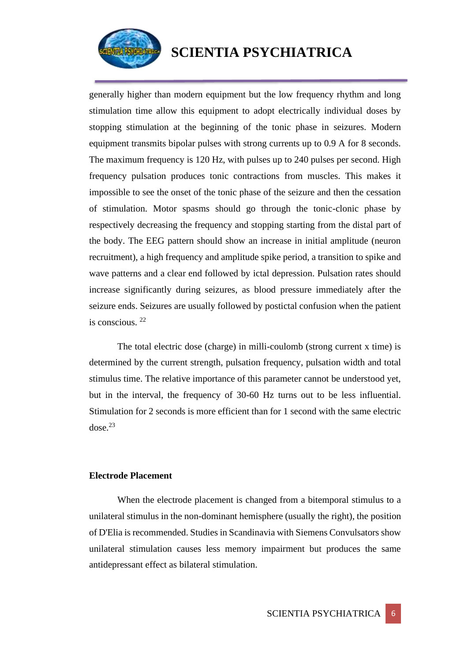

generally higher than modern equipment but the low frequency rhythm and long stimulation time allow this equipment to adopt electrically individual doses by stopping stimulation at the beginning of the tonic phase in seizures. Modern equipment transmits bipolar pulses with strong currents up to 0.9 A for 8 seconds. The maximum frequency is 120 Hz, with pulses up to 240 pulses per second. High frequency pulsation produces tonic contractions from muscles. This makes it impossible to see the onset of the tonic phase of the seizure and then the cessation of stimulation. Motor spasms should go through the tonic-clonic phase by respectively decreasing the frequency and stopping starting from the distal part of the body. The EEG pattern should show an increase in initial amplitude (neuron recruitment), a high frequency and amplitude spike period, a transition to spike and wave patterns and a clear end followed by ictal depression. Pulsation rates should increase significantly during seizures, as blood pressure immediately after the seizure ends. Seizures are usually followed by postictal confusion when the patient is conscious. <sup>22</sup>

The total electric dose (charge) in milli-coulomb (strong current x time) is determined by the current strength, pulsation frequency, pulsation width and total stimulus time. The relative importance of this parameter cannot be understood yet, but in the interval, the frequency of 30-60 Hz turns out to be less influential. Stimulation for 2 seconds is more efficient than for 1 second with the same electric  $dose.<sup>23</sup>$ 

#### **Electrode Placement**

When the electrode placement is changed from a bitemporal stimulus to a unilateral stimulus in the non-dominant hemisphere (usually the right), the position of D'Elia is recommended. Studies in Scandinavia with Siemens Convulsators show unilateral stimulation causes less memory impairment but produces the same antidepressant effect as bilateral stimulation.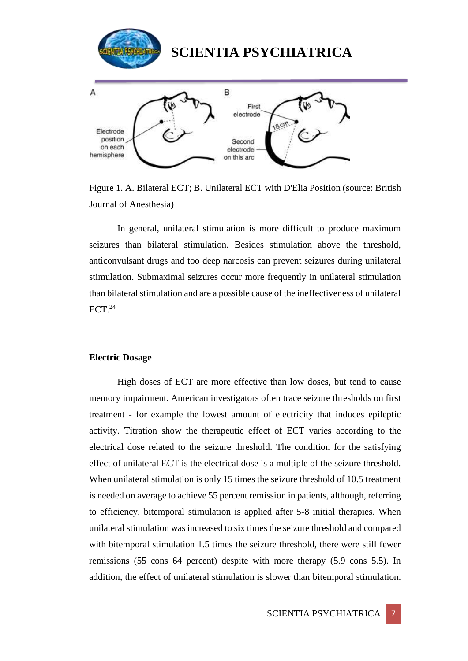

Figure 1. A. Bilateral ECT; B. Unilateral ECT with D'Elia Position (source: British Journal of Anesthesia)

In general, unilateral stimulation is more difficult to produce maximum seizures than bilateral stimulation. Besides stimulation above the threshold, anticonvulsant drugs and too deep narcosis can prevent seizures during unilateral stimulation. Submaximal seizures occur more frequently in unilateral stimulation than bilateral stimulation and are a possible cause of the ineffectiveness of unilateral  $ECT<sup>24</sup>$ 

#### **Electric Dosage**

High doses of ECT are more effective than low doses, but tend to cause memory impairment. American investigators often trace seizure thresholds on first treatment - for example the lowest amount of electricity that induces epileptic activity. Titration show the therapeutic effect of ECT varies according to the electrical dose related to the seizure threshold. The condition for the satisfying effect of unilateral ECT is the electrical dose is a multiple of the seizure threshold. When unilateral stimulation is only 15 times the seizure threshold of 10.5 treatment is needed on average to achieve 55 percent remission in patients, although, referring to efficiency, bitemporal stimulation is applied after 5-8 initial therapies. When unilateral stimulation was increased to six times the seizure threshold and compared with bitemporal stimulation 1.5 times the seizure threshold, there were still fewer remissions (55 cons 64 percent) despite with more therapy (5.9 cons 5.5). In addition, the effect of unilateral stimulation is slower than bitemporal stimulation.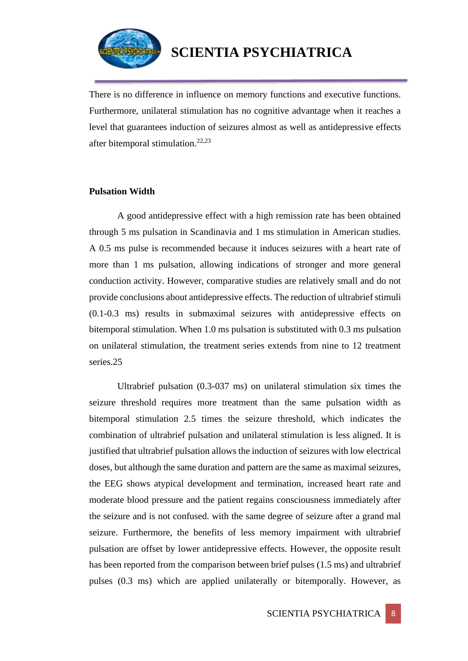

There is no difference in influence on memory functions and executive functions. Furthermore, unilateral stimulation has no cognitive advantage when it reaches a level that guarantees induction of seizures almost as well as antidepressive effects after bitemporal stimulation.<sup>22,23</sup>

#### **Pulsation Width**

A good antidepressive effect with a high remission rate has been obtained through 5 ms pulsation in Scandinavia and 1 ms stimulation in American studies. A 0.5 ms pulse is recommended because it induces seizures with a heart rate of more than 1 ms pulsation, allowing indications of stronger and more general conduction activity. However, comparative studies are relatively small and do not provide conclusions about antidepressive effects. The reduction of ultrabrief stimuli (0.1-0.3 ms) results in submaximal seizures with antidepressive effects on bitemporal stimulation. When 1.0 ms pulsation is substituted with 0.3 ms pulsation on unilateral stimulation, the treatment series extends from nine to 12 treatment series.25

Ultrabrief pulsation (0.3-037 ms) on unilateral stimulation six times the seizure threshold requires more treatment than the same pulsation width as bitemporal stimulation 2.5 times the seizure threshold, which indicates the combination of ultrabrief pulsation and unilateral stimulation is less aligned. It is justified that ultrabrief pulsation allows the induction of seizures with low electrical doses, but although the same duration and pattern are the same as maximal seizures, the EEG shows atypical development and termination, increased heart rate and moderate blood pressure and the patient regains consciousness immediately after the seizure and is not confused. with the same degree of seizure after a grand mal seizure. Furthermore, the benefits of less memory impairment with ultrabrief pulsation are offset by lower antidepressive effects. However, the opposite result has been reported from the comparison between brief pulses (1.5 ms) and ultrabrief pulses (0.3 ms) which are applied unilaterally or bitemporally. However, as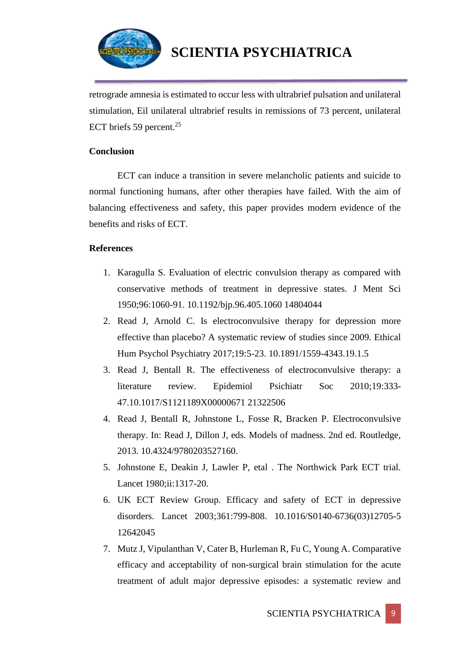

retrograde amnesia is estimated to occur less with ultrabrief pulsation and unilateral stimulation, Eil unilateral ultrabrief results in remissions of 73 percent, unilateral ECT briefs 59 percent.<sup>25</sup>

## **Conclusion**

ECT can induce a transition in severe melancholic patients and suicide to normal functioning humans, after other therapies have failed. With the aim of balancing effectiveness and safety, this paper provides modern evidence of the benefits and risks of ECT.

### **References**

- 1. Karagulla S. Evaluation of electric convulsion therapy as compared with conservative methods of treatment in depressive states. J Ment Sci 1950;96:1060-91. 10.1192/bjp.96.405.1060 14804044
- 2. Read J, Arnold C. Is electroconvulsive therapy for depression more effective than placebo? A systematic review of studies since 2009. Ethical Hum Psychol Psychiatry 2017;19:5-23. 10.1891/1559-4343.19.1.5
- 3. Read J, Bentall R. The effectiveness of electroconvulsive therapy: a literature review. Epidemiol Psichiatr Soc 2010;19:333- 47.10.1017/S1121189X00000671 21322506
- 4. Read J, Bentall R, Johnstone L, Fosse R, Bracken P. Electroconvulsive therapy. In: Read J, Dillon J, eds. Models of madness. 2nd ed. Routledge, 2013. 10.4324/9780203527160.
- 5. Johnstone E, Deakin J, Lawler P, etal . The Northwick Park ECT trial. Lancet 1980;ii:1317-20.
- 6. UK ECT Review Group. Efficacy and safety of ECT in depressive disorders. Lancet 2003;361:799-808. 10.1016/S0140-6736(03)12705-5 12642045
- 7. Mutz J, Vipulanthan V, Cater B, Hurleman R, Fu C, Young A. Comparative efficacy and acceptability of non-surgical brain stimulation for the acute treatment of adult major depressive episodes: a systematic review and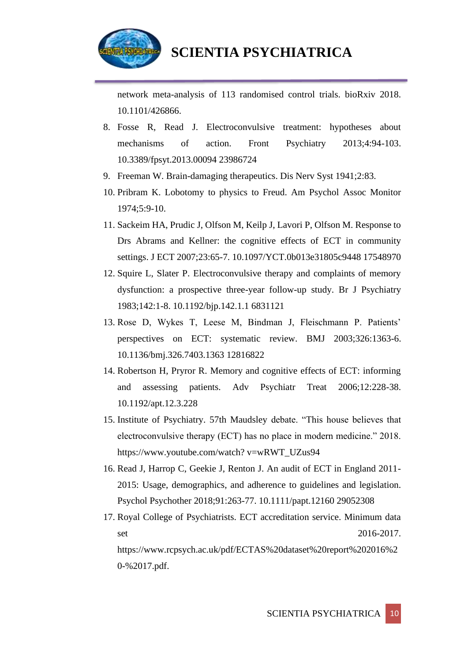

network meta-analysis of 113 randomised control trials. bioRxiv 2018. 10.1101/426866.

- 8. Fosse R, Read J. Electroconvulsive treatment: hypotheses about mechanisms of action. Front Psychiatry 2013;4:94-103. 10.3389/fpsyt.2013.00094 23986724
- 9. Freeman W. Brain-damaging therapeutics. Dis Nerv Syst 1941;2:83.
- 10. Pribram K. Lobotomy to physics to Freud. Am Psychol Assoc Monitor 1974;5:9-10.
- 11. Sackeim HA, Prudic J, Olfson M, Keilp J, Lavori P, Olfson M. Response to Drs Abrams and Kellner: the cognitive effects of ECT in community settings. J ECT 2007;23:65-7. 10.1097/YCT.0b013e31805c9448 17548970
- 12. Squire L, Slater P. Electroconvulsive therapy and complaints of memory dysfunction: a prospective three-year follow-up study. Br J Psychiatry 1983;142:1-8. 10.1192/bjp.142.1.1 6831121
- 13. Rose D, Wykes T, Leese M, Bindman J, Fleischmann P. Patients' perspectives on ECT: systematic review. BMJ 2003;326:1363-6. 10.1136/bmj.326.7403.1363 12816822
- 14. Robertson H, Pryror R. Memory and cognitive effects of ECT: informing and assessing patients. Adv Psychiatr Treat 2006;12:228-38. 10.1192/apt.12.3.228
- 15. Institute of Psychiatry. 57th Maudsley debate. "This house believes that electroconvulsive therapy (ECT) has no place in modern medicine." 2018. https://www.youtube.com/watch? v=wRWT\_UZus94
- 16. Read J, Harrop C, Geekie J, Renton J. An audit of ECT in England 2011- 2015: Usage, demographics, and adherence to guidelines and legislation. Psychol Psychother 2018;91:263-77. 10.1111/papt.12160 29052308
- 17. Royal College of Psychiatrists. ECT accreditation service. Minimum data set 2016-2017. https://www.rcpsych.ac.uk/pdf/ECTAS%20dataset%20report%202016%2 0-%2017.pdf.